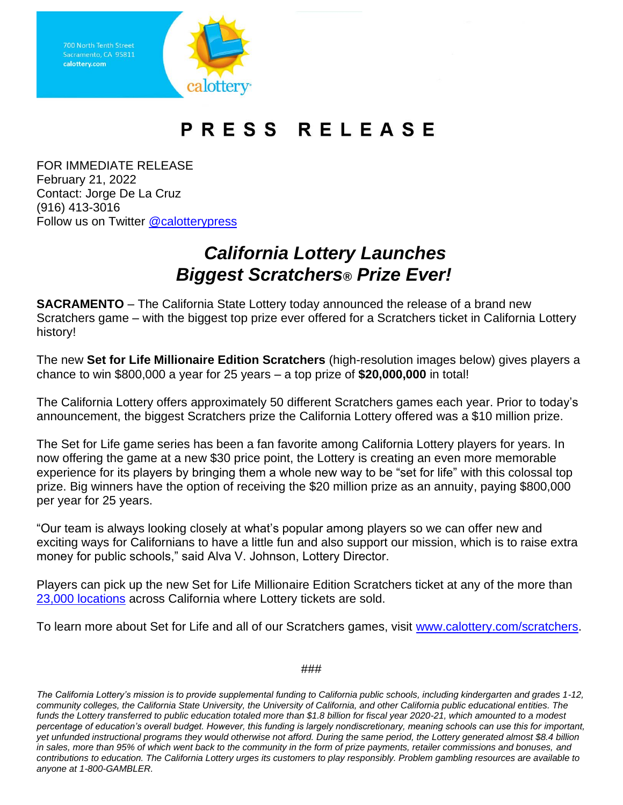Sacramento, CA 95811 calottery.com

## PRESS RELEASE

FOR IMMEDIATE RELEASE February 21, 2022 Contact: Jorge De La Cruz (916) 413-3016 Follow us on Twitter [@calotterypress](https://twitter.com/calotterypress)

## *California Lottery Launches Biggest Scratchers® Prize Ever!*

**SACRAMENTO** – The California State Lottery today announced the release of a brand new Scratchers game – with the biggest top prize ever offered for a Scratchers ticket in California Lottery history!

The new **Set for Life Millionaire Edition Scratchers** (high-resolution images below) gives players a chance to win \$800,000 a year for 25 years – a top prize of **\$20,000,000** in total!

The California Lottery offers approximately 50 different Scratchers games each year. Prior to today's announcement, the biggest Scratchers prize the California Lottery offered was a \$10 million prize.

The Set for Life game series has been a fan favorite among California Lottery players for years. In now offering the game at a new \$30 price point, the Lottery is creating an even more memorable experience for its players by bringing them a whole new way to be "set for life" with this colossal top prize. Big winners have the option of receiving the \$20 million prize as an annuity, paying \$800,000 per year for 25 years.

"Our team is always looking closely at what's popular among players so we can offer new and exciting ways for Californians to have a little fun and also support our mission, which is to raise extra money for public schools," said Alva V. Johnson, Lottery Director.

Players can pick up the new Set for Life Millionaire Edition Scratchers ticket at any of the more than [23,000 locations](https://www.calottery.com/Where-To-Play) across California where Lottery tickets are sold.

To learn more about Set for Life and all of our Scratchers games, visit [www.calottery.com/scratchers.](https://www.calottery.com/scratchers)

###

*The California Lottery's mission is to provide supplemental funding to California public schools, including kindergarten and grades 1-12, community colleges, the California State University, the University of California, and other California public educational entities. The funds the Lottery transferred to public education totaled more than \$1.8 billion for fiscal year 2020-21, which amounted to a modest percentage of education's overall budget. However, this funding is largely nondiscretionary, meaning schools can use this for important, yet unfunded instructional programs they would otherwise not afford. During the same period, the Lottery generated almost \$8.4 billion in sales, more than 95% of which went back to the community in the form of prize payments, retailer commissions and bonuses, and contributions to education. The California Lottery urges its customers to play responsibly. Problem gambling resources are available to anyone at 1-800-GAMBLER.*